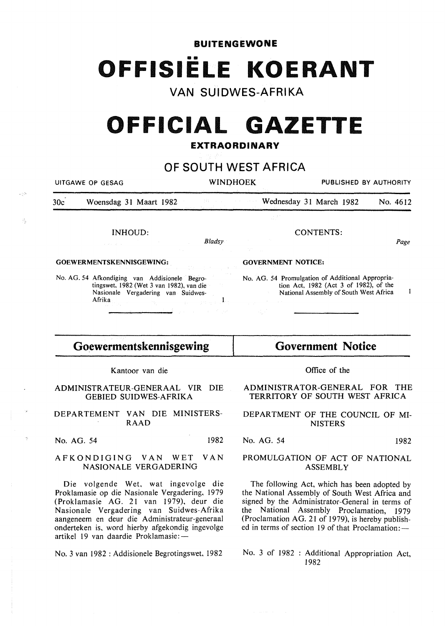## **BUITENGEWONE**  •• **OFFISIELE KOERANT**

## **VAN SUIDWES-AFRIKA**

# **OFFICIAL GAZETTE**

### **EXTRAORDINARY**

**OF SOUTH WEST AFRICA** 

|                                                                                                                                                                                                                                                                                                                                                                                                                                                                                                                                                          | <b>UITGAWE OP GESAG</b>                                         | <b>WINDHOEK</b>                                                                                                                                     |                                           | PUBLISHED BY AUTHORITY                                      |          |
|----------------------------------------------------------------------------------------------------------------------------------------------------------------------------------------------------------------------------------------------------------------------------------------------------------------------------------------------------------------------------------------------------------------------------------------------------------------------------------------------------------------------------------------------------------|-----------------------------------------------------------------|-----------------------------------------------------------------------------------------------------------------------------------------------------|-------------------------------------------|-------------------------------------------------------------|----------|
| 30c                                                                                                                                                                                                                                                                                                                                                                                                                                                                                                                                                      | Woensdag 31 Maart 1982                                          | 344 - 100 100                                                                                                                                       | <b>Example 31 Wednesday 31 March 1982</b> |                                                             | No. 4612 |
|                                                                                                                                                                                                                                                                                                                                                                                                                                                                                                                                                          |                                                                 |                                                                                                                                                     |                                           |                                                             |          |
|                                                                                                                                                                                                                                                                                                                                                                                                                                                                                                                                                          | <b>INHOUD:</b>                                                  |                                                                                                                                                     |                                           | CONTENTS:                                                   |          |
|                                                                                                                                                                                                                                                                                                                                                                                                                                                                                                                                                          | a construction                                                  | Bladsy                                                                                                                                              |                                           |                                                             | Page     |
| GOEWERMENTSKENNISGEWING:                                                                                                                                                                                                                                                                                                                                                                                                                                                                                                                                 |                                                                 | <b>GOVERNMENT NOTICE:</b>                                                                                                                           |                                           |                                                             |          |
| No. AG. 54 Afkondiging van Addisionele Begro-<br>tingswet, 1982 (Wet 3 van 1982), van die<br>Nasionale Vergadering van Suidwes-<br>$\text{Affika}_{\mathcal{D}(\mathcal{V},\mathcal{H})}(\mathcal{E}_{\mathcal{V},\mathcal{V}}(\mathcal{E}_{\mathcal{V},\mathcal{V}}(\mathcal{E}_{\mathcal{V},\mathcal{V}}(\mathcal{E}_{\mathcal{V},\mathcal{V}}(\mathcal{E}_{\mathcal{V}}(\mathcal{E}_{\mathcal{V}}(\mathcal{E}_{\mathcal{V}}(\mathcal{E}_{\mathcal{V}}(\mathcal{E}_{\mathcal{V}}(\mathcal{E}_{\mathcal{V}}))))$<br>control of the control of the state |                                                                 | No. AG. 54 Promulgation of Additional Appropria-<br>tion Act, 1982 (Act 3 of 1982), of the<br>1<br>National Assembly of South West Africa<br>ina je |                                           |                                                             |          |
| Goewermentskennisgewing                                                                                                                                                                                                                                                                                                                                                                                                                                                                                                                                  |                                                                 | <b>Government Notice</b>                                                                                                                            |                                           |                                                             |          |
|                                                                                                                                                                                                                                                                                                                                                                                                                                                                                                                                                          | Kantoor van die                                                 |                                                                                                                                                     |                                           | Office of the                                               |          |
|                                                                                                                                                                                                                                                                                                                                                                                                                                                                                                                                                          | ADMINISTRATEUR-GENERAAL VIR DIE<br><b>GEBIED SUIDWES-AFRIKA</b> |                                                                                                                                                     |                                           | ADMINISTRATOR-GENERAL FOR<br>TERRITORY OF SOUTH WEST AFRICA | THE      |

DEPARTEMENT VAN DIE MINISTERS-RAAD

No. AG. 54 1982

 $\sim 10^5$ 

 $\mathcal{R}$ 

### AFKONDIGING VAN WET VAN NASIONALE VERGADERING

Die volgende Wet, wat ingevolge die Proklamasie op die Nasionale Vergadering, 1979 (Proklamasie AG. 21 van 1979), deur die Nasionale Vergadering van Suidwes-Afrika aangeneem en deur die Administrateur-generaal onderteken is, word hierby afgekondig ingevolge artikel 19 van daardie Proklamasie:-

No. 3 van 1982 : Addisionele Begrotingswet, 1982

TERRITORY OF SOUTH WEST AFRICA

### DEPARTMENT OF THE COUNCIL OF MI-NISTERS

No. AG. 54 1982

### PROMULGATION OF ACT OF NATIONAL ASSEMBLY

The following Act, which has been adopted by the National Assembly of South West Africa and signed by the Administrator-General in terms of the National Assembly Proclamation, 1979 (Proclamation AG. 21 of 1979), is hereby published in terms of section 19 of that Proclamation: -

No. 3 of 1982 : Additional Appropriation Act, 1982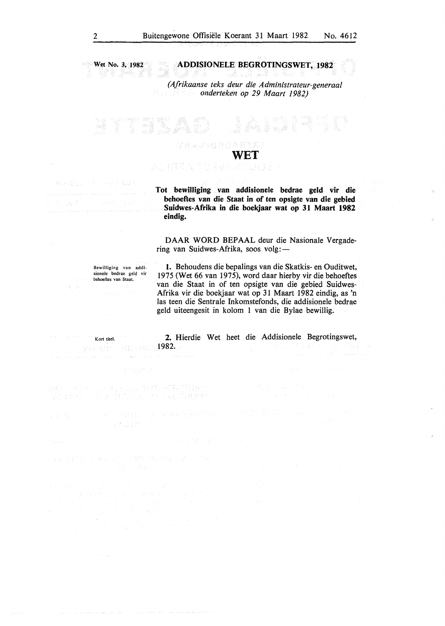Wet No. 3, 1982 ADDISIONELE BEGROTINGSWET, 1982 en<br>Sta

> *(Afrikaanse teks deur die Administrateur-generaal onderteken op 29 Maart 1982)*

 $\label{eq:1} \mathcal{L}(\mathcal{G}) = \frac{1}{2} \sum_{i=1}^N \mathcal{L}(\mathcal{G})$ WET

Tot bewilliging van addisionele bedrae geld vir die behoeftes van die Staat in of ten opsigte van die gebied Suidwes-Afrika in die boekjaar wat op 31 Maart 1982 eindig.

DAAR WORD BEPAAL deur die Nasionale Vergadering van Suidwes-Afrika, soos volg:-

Bewilliging van addisionele bedrae geld vir behoeftes van Staat.

I. Behoudens die bepalings van die Skatkis- en Ouditwet, 1975 (Wet 66 van 1975), word daar hierby vir die behoeftes van die Staat in of ten opsigte van die gebied Suidwes-Afrika vir die boekjaar wat op 31 Maart 1982 eindig, as 'n las teen die Sentrale Inkomstefonds, die addisionele bedrae geld uiteengesit in kolom 1 van die Bylae bewillig.

2. Hierdie Wet heet die Addisionele Begrotingswet, Kort titel. 1982. itsaa ee B<sup>2</sup>

 $\hat{\phi}$  is a sign of  $\hat{\phi}$  in the contract of

自称したい、この行いに、その行い時の出会い。<br>「人自ら行いため」はないに、けいっぱりは現象。

, 本意, 一点, 中国 有相关一点 不能找自身, 指以 合式自动

 $\label{eq:G1} \begin{split} G_{\alpha\beta\gamma\delta\gamma} &\equiv \frac{1}{2}\left( \frac{1}{2}\left( \frac{1}{2}\left( \frac{1}{2}\right) -\frac{1}{2}\left( \frac{1}{2}\right) -\frac{1}{2}\left( \frac{1}{2}\right) -\frac{1}{2}\left( \frac{1}{2}\right) \right) \right) \\ &\approx \frac{1}{2}\left( \frac{1}{2}\left( \frac{1}{2}\right) -\frac{1}{2}\left( \frac{1}{2}\right) -\frac{1}{2}\left( \frac{1}{2}\right) -\frac{1}{2}\left( \frac{1}{2}\right) -\frac{$ 

No Bultimore Care

쯿.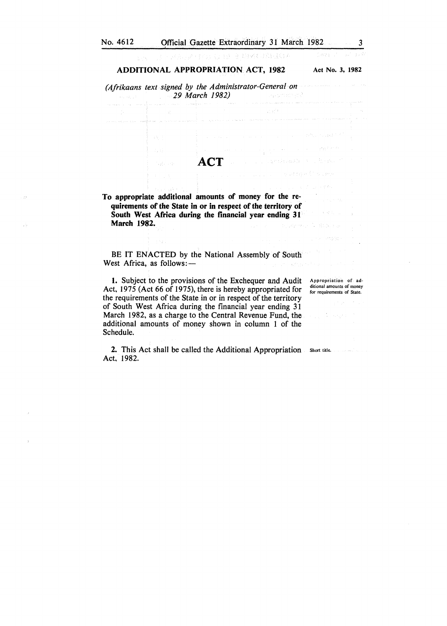303049039303333

**SOF** 

### ADDITIONAL APPROPRIATION ACT, 1982 Act No. 3, 1982

*(Afrikaans text signed by the Administrator-General on 29 March 1982)*  a sa sa

**ACT** 

To appropriate additional amounts of money for the requirements of the State in or in respect of the territory of South West Africa during the financial year ending 31 March 1982.

BE IT ENACTED by the National Assembly of South West Africa, as follows:-

I. Subject to the provisions of the Exchequer and Audit Act, 1975 (Act 66 of 1975), there is hereby appropriated for the requirements of the State in or in respect of the territory of South West Africa during the financial year ending 31 March 1982, as a charge to the Central Revenue Fund, the additional amounts of money shown in column 1 of the Schedule.

Appropriation of additional amounts of money for requirements of State.

2. This Act shall be called the Additional Appropriation Short title. Act, 1982.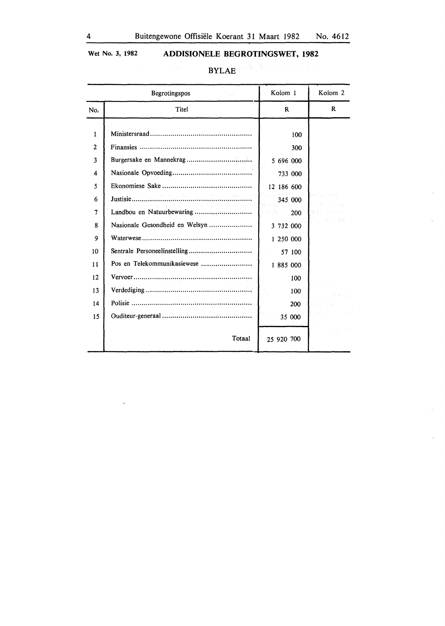### Wet No. 3, 1982 **ADDISIONELE BEGROTINGSWET, 1982**

| д.<br>. . |
|-----------|
|-----------|

|                        | Begrotingspos<br>1500                                                                                                                                                                                                                                                                                                                                                                                                                                                                                                                                                                                                                                                | Kolom 1                  | Kolom 2      |
|------------------------|----------------------------------------------------------------------------------------------------------------------------------------------------------------------------------------------------------------------------------------------------------------------------------------------------------------------------------------------------------------------------------------------------------------------------------------------------------------------------------------------------------------------------------------------------------------------------------------------------------------------------------------------------------------------|--------------------------|--------------|
| No.                    | Titel                                                                                                                                                                                                                                                                                                                                                                                                                                                                                                                                                                                                                                                                | $\mathbf{R}$             | $\mathbf R$  |
| 1<br>$\mathbf{2}$<br>3 |                                                                                                                                                                                                                                                                                                                                                                                                                                                                                                                                                                                                                                                                      | 100<br>300<br>5 696 000  |              |
| 4                      |                                                                                                                                                                                                                                                                                                                                                                                                                                                                                                                                                                                                                                                                      | 733 000                  |              |
| 5<br>6                 | $\begin{array}{l} \mathcal{L} \mathcal{L} \rightarrow \mathcal{L} \rightarrow \mathcal{L} \rightarrow \mathcal{L} \rightarrow \mathcal{L} \rightarrow \mathcal{L} \rightarrow \mathcal{L} \rightarrow \mathcal{L} \rightarrow \mathcal{L} \rightarrow \mathcal{L} \rightarrow \mathcal{L} \rightarrow \mathcal{L} \rightarrow \mathcal{L} \rightarrow \mathcal{L} \rightarrow \mathcal{L} \rightarrow \mathcal{L} \rightarrow \mathcal{L} \rightarrow \mathcal{L} \rightarrow \mathcal{L} \rightarrow \mathcal{L} \rightarrow \mathcal{L} \rightarrow \mathcal{L} \rightarrow \mathcal{L} \rightarrow \mathcal{L} \rightarrow \mathcal{L} \rightarrow \mathcal{L} \$ | 12 186 600<br>345 000    |              |
| 7                      | We are a structured to the con-<br>Landbou en Natuurbewaring                                                                                                                                                                                                                                                                                                                                                                                                                                                                                                                                                                                                         | ktera d<br>Anglis<br>200 |              |
| 8                      | Nasionale Gesondheid en Welsyn                                                                                                                                                                                                                                                                                                                                                                                                                                                                                                                                                                                                                                       | 3 732 000                | 지리 계산 발생     |
| 9                      |                                                                                                                                                                                                                                                                                                                                                                                                                                                                                                                                                                                                                                                                      | 1 250 000                |              |
| 10                     |                                                                                                                                                                                                                                                                                                                                                                                                                                                                                                                                                                                                                                                                      | 57 100                   |              |
| 11                     | Pos en Telekommunikasiewese                                                                                                                                                                                                                                                                                                                                                                                                                                                                                                                                                                                                                                          | 1 885 000                |              |
| 12                     |                                                                                                                                                                                                                                                                                                                                                                                                                                                                                                                                                                                                                                                                      | 100                      |              |
| 13                     |                                                                                                                                                                                                                                                                                                                                                                                                                                                                                                                                                                                                                                                                      | 100                      | 4.3 Contract |
| 14                     |                                                                                                                                                                                                                                                                                                                                                                                                                                                                                                                                                                                                                                                                      | 200                      |              |
| 15                     |                                                                                                                                                                                                                                                                                                                                                                                                                                                                                                                                                                                                                                                                      | 35 000                   |              |
|                        | Totaal                                                                                                                                                                                                                                                                                                                                                                                                                                                                                                                                                                                                                                                               | 25 920 700               |              |

 $\zeta^{\pm}$ 

 $\mathcal{L}_{\mathrm{c}}$ 

 $\bar{\bar{z}}$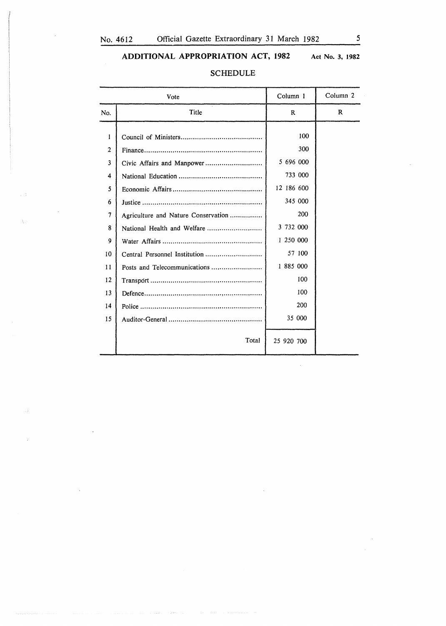$\sim$ 

Â.

### ADDITIONAL APPROPRIATION ACT, 1982 Act No. 3, 1982

|        | Vote                                | Column 1   | Column <sub>2</sub> |
|--------|-------------------------------------|------------|---------------------|
| No.    | Title                               | R          | R                   |
| 1      |                                     | 100<br>300 |                     |
| 2<br>3 |                                     | 5 696 000  |                     |
| 4      |                                     | 733 000    |                     |
| 5      |                                     | 12 186 600 |                     |
| 6      |                                     | 345 000    |                     |
| 7      | Agriculture and Nature Conservation | 200        |                     |
| 8      |                                     | 3 732 000  |                     |
| 9      |                                     | 1 250 000  |                     |
| 10     | Central Personnel Institution       | 57 100     |                     |
| 11     |                                     | 1 885 000  |                     |
| 12     |                                     | 100        |                     |
| 13     |                                     | 100        |                     |
| 14     |                                     | 200        |                     |
| 15     |                                     | 35 000     |                     |
|        | Total                               | 25 920 700 |                     |

### SCHEDULE